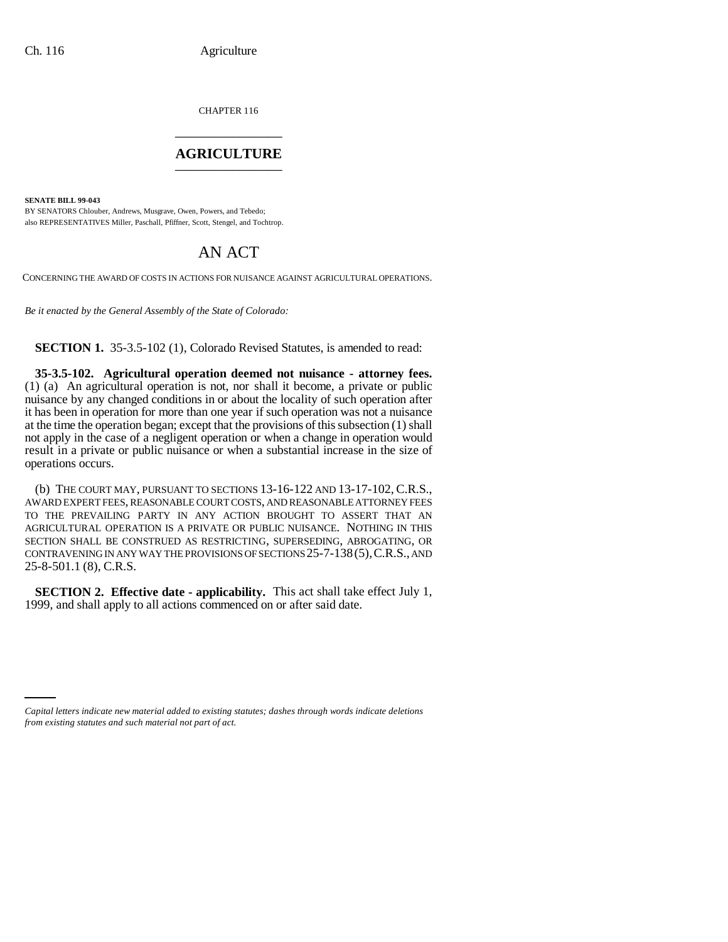CHAPTER 116 \_\_\_\_\_\_\_\_\_\_\_\_\_\_\_

## **AGRICULTURE** \_\_\_\_\_\_\_\_\_\_\_\_\_\_\_

**SENATE BILL 99-043** 

BY SENATORS Chlouber, Andrews, Musgrave, Owen, Powers, and Tebedo; also REPRESENTATIVES Miller, Paschall, Pfiffner, Scott, Stengel, and Tochtrop.

## AN ACT

CONCERNING THE AWARD OF COSTS IN ACTIONS FOR NUISANCE AGAINST AGRICULTURAL OPERATIONS.

*Be it enacted by the General Assembly of the State of Colorado:*

**SECTION 1.** 35-3.5-102 (1), Colorado Revised Statutes, is amended to read:

**35-3.5-102. Agricultural operation deemed not nuisance - attorney fees.** (1) (a) An agricultural operation is not, nor shall it become, a private or public nuisance by any changed conditions in or about the locality of such operation after it has been in operation for more than one year if such operation was not a nuisance at the time the operation began; except that the provisions of this subsection (1) shall not apply in the case of a negligent operation or when a change in operation would result in a private or public nuisance or when a substantial increase in the size of operations occurs.

(b) THE COURT MAY, PURSUANT TO SECTIONS 13-16-122 AND 13-17-102, C.R.S., AWARD EXPERT FEES, REASONABLE COURT COSTS, AND REASONABLE ATTORNEY FEES TO THE PREVAILING PARTY IN ANY ACTION BROUGHT TO ASSERT THAT AN AGRICULTURAL OPERATION IS A PRIVATE OR PUBLIC NUISANCE. NOTHING IN THIS SECTION SHALL BE CONSTRUED AS RESTRICTING, SUPERSEDING, ABROGATING, OR CONTRAVENING IN ANY WAY THE PROVISIONS OF SECTIONS 25-7-138(5),C.R.S., AND 25-8-501.1 (8), C.R.S.

**SECTION 2. Effective date - applicability.** This act shall take effect July 1, 1999, and shall apply to all actions commenced on or after said date.

*Capital letters indicate new material added to existing statutes; dashes through words indicate deletions from existing statutes and such material not part of act.*